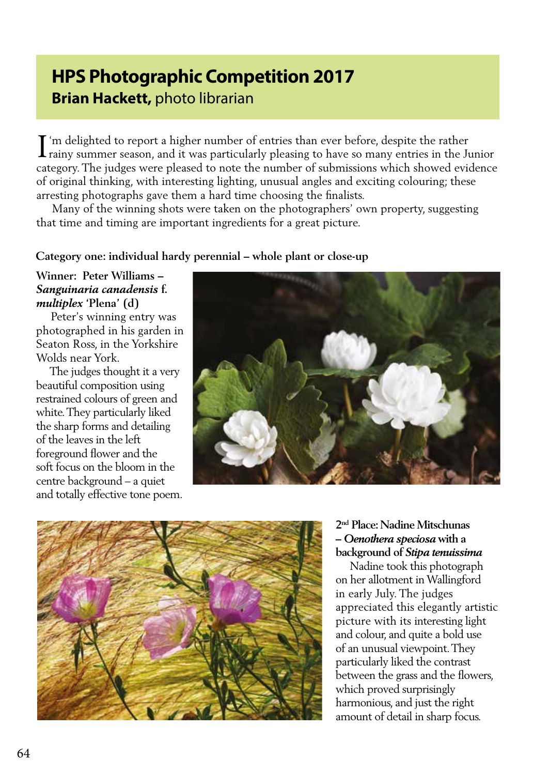# **HPS Photographic Competition 2017 Brian Hackett,** photo librarian

I'm delighted to report a higher number of entries than ever before, despite the rather rainy summer season, and it was particularly pleasing to have so many entries in the Ju rainy summer season, and it was particularly pleasing to have so many entries in the Junior category. The judges were pleased to note the number of submissions which showed evidence of original thinking, with interesting lighting, unusual angles and exciting colouring; these arresting photographs gave them a hard time choosing the finalists.

 Many of the winning shots were taken on the photographers' own property, suggesting that time and timing are important ingredients for a great picture.

# **Category one: individual hardy perennial – whole plant or close-up**

#### **Winner: Peter Williams –**  *Sanguinaria canadensis* **f.**  *multiplex* **'Plena' (d)**

 Peter's winning entry was photographed in his garden in Seaton Ross, in the Yorkshire Wolds near York.

 The judges thought it a very beautiful composition using restrained colours of green and white. They particularly liked the sharp forms and detailing of the leaves in the left foreground flower and the soft focus on the bloom in the centre background – a quiet and totally effective tone poem.





### **2nd Place: Nadine Mitschunas –** *Oenothera speciosa* **with a background of** *Stipa tenuissima*

 Nadine took this photograph on her allotment in Wallingford in early July. The judges appreciated this elegantly artistic picture with its interesting light and colour, and quite a bold use of an unusual viewpoint. They particularly liked the contrast between the grass and the flowers, which proved surprisingly harmonious, and just the right amount of detail in sharp focus.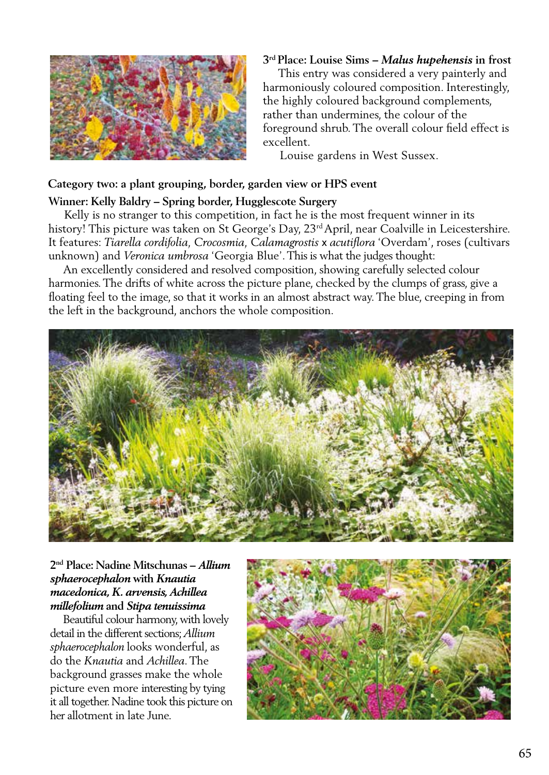

#### **3rd Place: Louise Sims –** *Malus hupehensis* **in frost**

 This entry was considered a very painterly and harmoniously coloured composition. Interestingly, the highly coloured background complements, rather than undermines, the colour of the foreground shrub. The overall colour field effect is excellent.

Louise gardens in West Sussex.

#### **Category two: a plant grouping, border, garden view or HPS event**

#### **Winner: Kelly Baldry – Spring border, Hugglescote Surgery**

 Kelly is no stranger to this competition, in fact he is the most frequent winner in its history! This picture was taken on St George's Day, 23<sup>rd</sup> April, near Coalville in Leicestershire. It features: *Tiarella cordifolia, Crocosmia, Calamagrostis* x *acutiflora* 'Overdam', roses (cultivars unknown) and *Veronica umbrosa* 'Georgia Blue'. This is what the judges thought:

 An excellently considered and resolved composition, showing carefully selected colour harmonies. The drifts of white across the picture plane, checked by the clumps of grass, give a floating feel to the image, so that it works in an almost abstract way. The blue, creeping in from the left in the background, anchors the whole composition.



### **2nd Place: Nadine Mitschunas –** *Allium sphaerocephalon* **with** *Knautia macedonica, K. arvensis, Achillea millefolium* **and** *Stipa tenuissima*

 Beautiful colour harmony, with lovely detail in the different sections; *Allium sphaerocephalon* looks wonderful, as do the *Knautia* and *Achillea*. The background grasses make the whole picture even more interesting by tying it all together. Nadine took this picture on her allotment in late June.